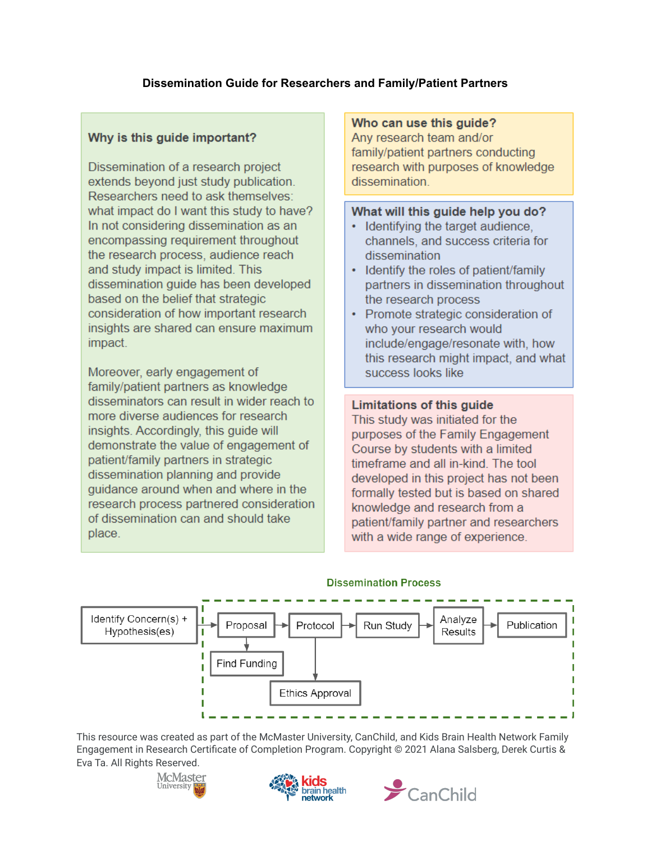## **Dissemination Guide for Researchers and Family/Patient Partners**

## Why is this quide important?

Dissemination of a research project extends beyond just study publication. Researchers need to ask themselves: what impact do I want this study to have? In not considering dissemination as an encompassing requirement throughout the research process, audience reach and study impact is limited. This dissemination quide has been developed based on the belief that strategic consideration of how important research insights are shared can ensure maximum impact.

Moreover, early engagement of family/patient partners as knowledge disseminators can result in wider reach to more diverse audiences for research insights. Accordingly, this guide will demonstrate the value of engagement of patient/family partners in strategic dissemination planning and provide guidance around when and where in the research process partnered consideration of dissemination can and should take place.

#### Who can use this guide?

Any research team and/or family/patient partners conducting research with purposes of knowledge dissemination.

#### What will this guide help you do?

- Identifying the target audience, channels, and success criteria for dissemination
- Identify the roles of patient/family partners in dissemination throughout the research process
- Promote strategic consideration of who your research would include/engage/resonate with, how this research might impact, and what success looks like

### Limitations of this guide

This study was initiated for the purposes of the Family Engagement Course by students with a limited timeframe and all in-kind. The tool developed in this project has not been formally tested but is based on shared knowledge and research from a patient/family partner and researchers with a wide range of experience.



#### **Dissemination Process**





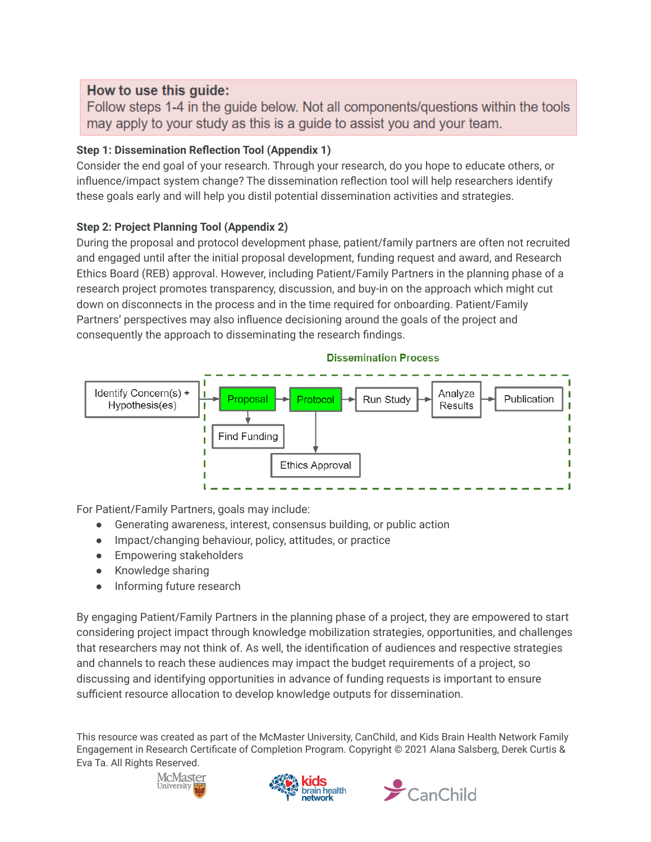# How to use this quide:

Follow steps 1-4 in the guide below. Not all components/questions within the tools may apply to your study as this is a quide to assist you and your team.

# **Step 1: Dissemination Reflection Tool (Appendix 1)**

Consider the end goal of your research. Through your research, do you hope to educate others, or influence/impact system change? The dissemination reflection tool will help researchers identify these goals early and will help you distil potential dissemination activities and strategies.

# **Step 2: Project Planning Tool (Appendix 2)**

During the proposal and protocol development phase, patient/family partners are often not recruited and engaged until after the initial proposal development, funding request and award, and Research Ethics Board (REB) approval. However, including Patient/Family Partners in the planning phase of a research project promotes transparency, discussion, and buy-in on the approach which might cut down on disconnects in the process and in the time required for onboarding. Patient/Family Partners' perspectives may also influence decisioning around the goals of the project and consequently the approach to disseminating the research findings.



For Patient/Family Partners, goals may include:

- Generating awareness, interest, consensus building, or public action
- Impact/changing behaviour, policy, attitudes, or practice
- **•** Empowering stakeholders
- Knowledge sharing
- Informing future research

By engaging Patient/Family Partners in the planning phase of a project, they are empowered to start considering project impact through knowledge mobilization strategies, opportunities, and challenges that researchers may not think of. As well, the identification of audiences and respective strategies and channels to reach these audiences may impact the budget requirements of a project, so discussing and identifying opportunities in advance of funding requests is important to ensure sufficient resource allocation to develop knowledge outputs for dissemination.





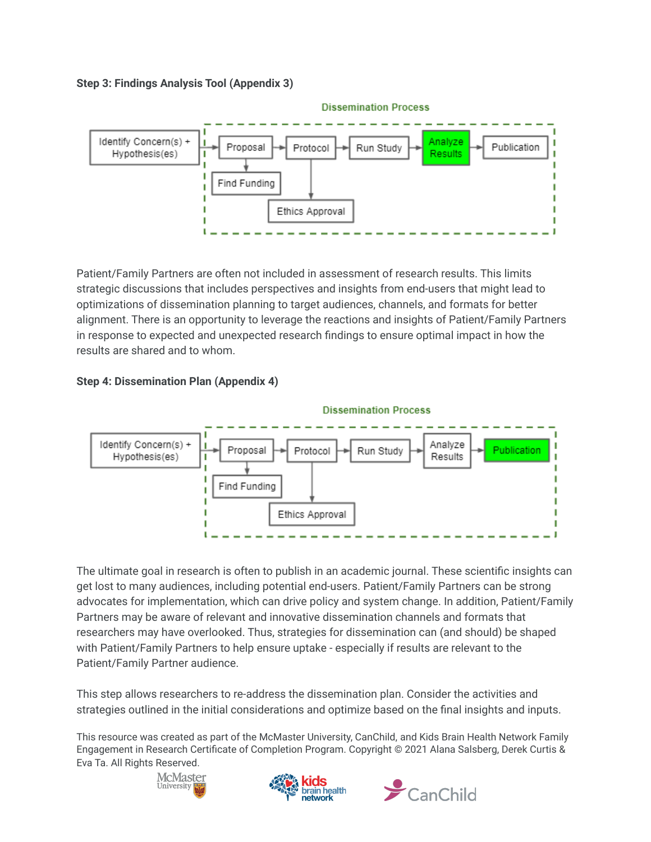**Step 3: Findings Analysis Tool (Appendix 3)**



Patient/Family Partners are often not included in assessment of research results. This limits strategic discussions that includes perspectives and insights from end-users that might lead to optimizations of dissemination planning to target audiences, channels, and formats for better alignment. There is an opportunity to leverage the reactions and insights of Patient/Family Partners in response to expected and unexpected research findings to ensure optimal impact in how the results are shared and to whom.





The ultimate goal in research is often to publish in an academic journal. These scientific insights can get lost to many audiences, including potential end-users. Patient/Family Partners can be strong advocates for implementation, which can drive policy and system change. In addition, Patient/Family Partners may be aware of relevant and innovative dissemination channels and formats that researchers may have overlooked. Thus, strategies for dissemination can (and should) be shaped with Patient/Family Partners to help ensure uptake - especially if results are relevant to the Patient/Family Partner audience.

This step allows researchers to re-address the dissemination plan. Consider the activities and strategies outlined in the initial considerations and optimize based on the final insights and inputs.





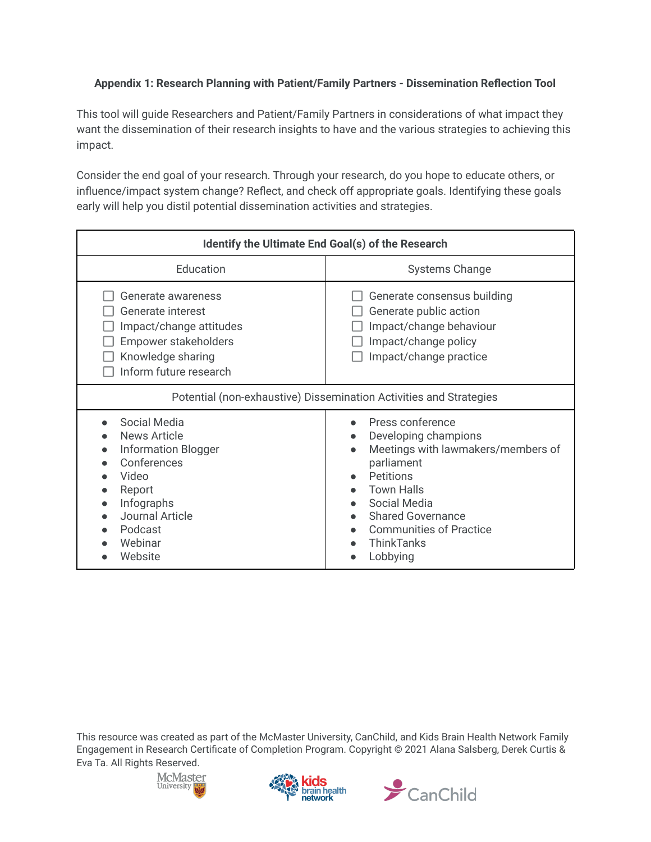## **Appendix 1: Research Planning with Patient/Family Partners - Dissemination Reflection Tool**

This tool will guide Researchers and Patient/Family Partners in considerations of what impact they want the dissemination of their research insights to have and the various strategies to achieving this impact.

Consider the end goal of your research. Through your research, do you hope to educate others, or influence/impact system change? Reflect, and check off appropriate goals. Identifying these goals early will help you distil potential dissemination activities and strategies.

| Identify the Ultimate End Goal(s) of the Research                                                                                                                     |                                                                                                                                                                                                                                                                                                                |  |  |
|-----------------------------------------------------------------------------------------------------------------------------------------------------------------------|----------------------------------------------------------------------------------------------------------------------------------------------------------------------------------------------------------------------------------------------------------------------------------------------------------------|--|--|
| Education                                                                                                                                                             | <b>Systems Change</b>                                                                                                                                                                                                                                                                                          |  |  |
| Generate awareness<br>Generate interest<br>Impact/change attitudes<br>Empower stakeholders<br>Knowledge sharing<br>Inform future research                             | Generate consensus building<br>Generate public action<br>Impact/change behaviour<br>Impact/change policy<br>Impact/change practice                                                                                                                                                                             |  |  |
| Potential (non-exhaustive) Dissemination Activities and Strategies                                                                                                    |                                                                                                                                                                                                                                                                                                                |  |  |
| Social Media<br>News Article<br><b>Information Blogger</b><br>Conferences<br>Video<br>Report<br>Infographs<br><b>Journal Article</b><br>Podcast<br>Webinar<br>Website | Press conference<br>Developing champions<br>$\bullet$<br>Meetings with lawmakers/members of<br>$\bullet$<br>parliament<br><b>Petitions</b><br>$\bullet$<br><b>Town Halls</b><br>Social Media<br>$\bullet$<br><b>Shared Governance</b><br>$\bullet$<br><b>Communities of Practice</b><br>ThinkTanks<br>Lobbying |  |  |





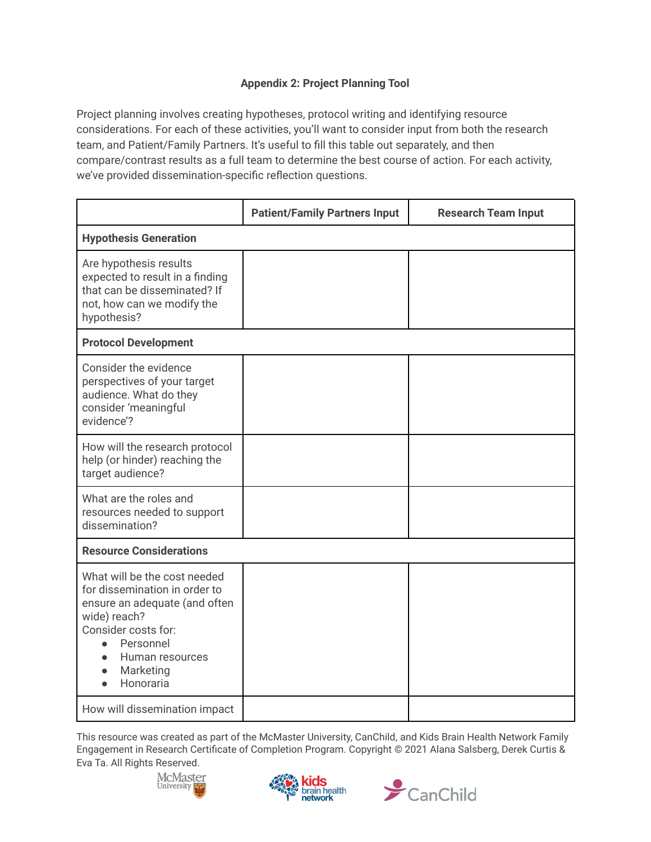## **Appendix 2: Project Planning Tool**

Project planning involves creating hypotheses, protocol writing and identifying resource considerations. For each of these activities, you'll want to consider input from both the research team, and Patient/Family Partners. It's useful to fill this table out separately, and then compare/contrast results as a full team to determine the best course of action. For each activity, we've provided dissemination-specific reflection questions.

|                                                                                                                                                                                                              | <b>Patient/Family Partners Input</b> | <b>Research Team Input</b> |  |
|--------------------------------------------------------------------------------------------------------------------------------------------------------------------------------------------------------------|--------------------------------------|----------------------------|--|
| <b>Hypothesis Generation</b>                                                                                                                                                                                 |                                      |                            |  |
| Are hypothesis results<br>expected to result in a finding<br>that can be disseminated? If<br>not, how can we modify the<br>hypothesis?                                                                       |                                      |                            |  |
| <b>Protocol Development</b>                                                                                                                                                                                  |                                      |                            |  |
| Consider the evidence<br>perspectives of your target<br>audience. What do they<br>consider 'meaningful<br>evidence'?                                                                                         |                                      |                            |  |
| How will the research protocol<br>help (or hinder) reaching the<br>target audience?                                                                                                                          |                                      |                            |  |
| What are the roles and<br>resources needed to support<br>dissemination?                                                                                                                                      |                                      |                            |  |
| <b>Resource Considerations</b>                                                                                                                                                                               |                                      |                            |  |
| What will be the cost needed<br>for dissemination in order to<br>ensure an adequate (and often<br>wide) reach?<br>Consider costs for:<br>Personnel<br>$\bullet$<br>Human resources<br>Marketing<br>Honoraria |                                      |                            |  |
| How will dissemination impact                                                                                                                                                                                |                                      |                            |  |





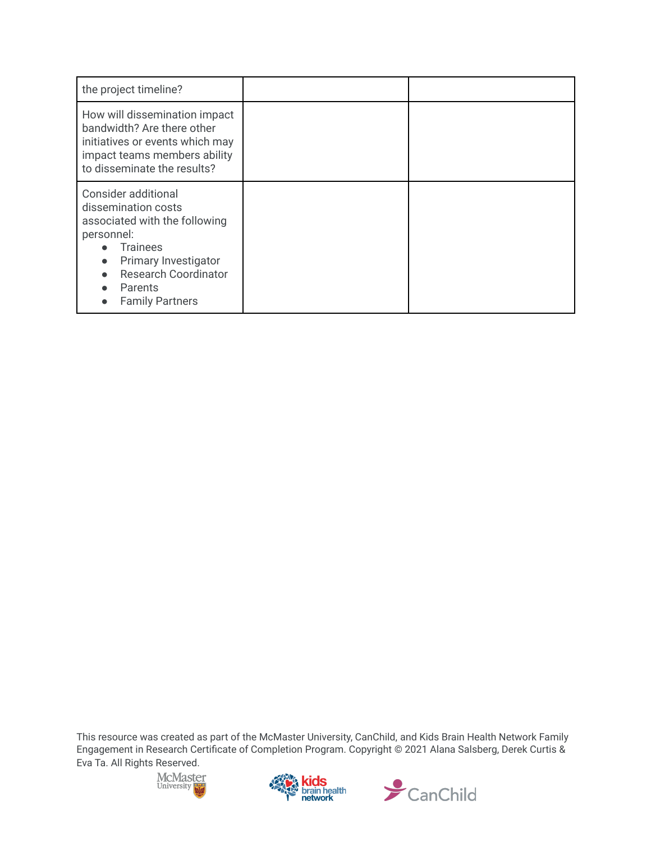| the project timeline?                                                                                                                                                                                    |  |
|----------------------------------------------------------------------------------------------------------------------------------------------------------------------------------------------------------|--|
| How will dissemination impact<br>bandwidth? Are there other<br>initiatives or events which may<br>impact teams members ability<br>to disseminate the results?                                            |  |
| Consider additional<br>dissemination costs<br>associated with the following<br>personnel:<br><b>Trainees</b><br>Primary Investigator<br><b>Research Coordinator</b><br>Parents<br><b>Family Partners</b> |  |





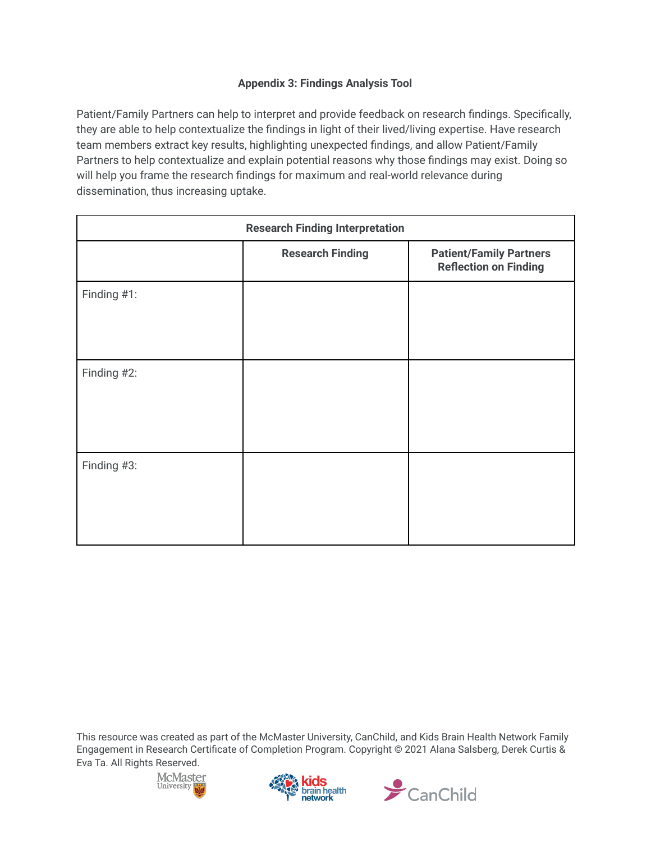## **Appendix 3: Findings Analysis Tool**

Patient/Family Partners can help to interpret and provide feedback on research findings. Specifically, they are able to help contextualize the findings in light of their lived/living expertise. Have research team members extract key results, highlighting unexpected findings, and allow Patient/Family Partners to help contextualize and explain potential reasons why those findings may exist. Doing so will help you frame the research findings for maximum and real-world relevance during dissemination, thus increasing uptake.

| <b>Research Finding Interpretation</b> |                         |                                                                |
|----------------------------------------|-------------------------|----------------------------------------------------------------|
|                                        | <b>Research Finding</b> | <b>Patient/Family Partners</b><br><b>Reflection on Finding</b> |
| Finding #1:                            |                         |                                                                |
| Finding #2:                            |                         |                                                                |
| Finding #3:                            |                         |                                                                |